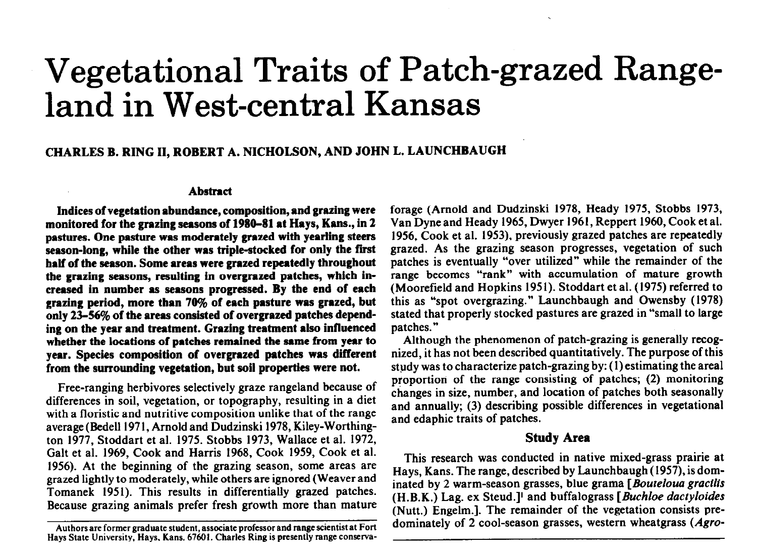# **Vegetational Traits of Patch-grazed Range**land in West-central Kansas

## CHARLES B. RING II, ROBERT A. NICHOLSON, AND JOHN L. LAUNCHBAUGH

#### **Abstract**

**Indices of vegetation abundance, composition, and grazing were monitored for the grazing seasons of 1980-81 at Hays, Kans., in 2 pastures. One pasture was moderately grazed with yearling steers**  season-long, while the other was triple-stocked for only the first **half of the season. Some** areas **were grazed repeatedly throughout the grazing seasons, resulting in overgrazed patches, which increased in number as seasons progressed.** By **the end of each**  grazing period, more than 70% of each pasture was grazed, but only 23-56% of the areas consisted of overgrazed patches depend**ing on the year and treatment. Grazing treatment also influenced whether the locations of patches remained the same from year to year. Species composition of overgrazed patches was different from the surrounding vegetation, but soil properties were not.** 

Free-ranging herbivores selectively graze rangeland because of differences in soil, vegetation, or topography, resulting in a diet with a floristic and nutritive composition unlike that of the range average (Bedell 1971, Arnold and Dudzinski 1978, Kiley-Worthington 1977, Stoddart et al. 1975. Stobbs 1973, Wallace et al. 1972, Galt et al. 1969, Cook and Harris 1968, Cook 1959, Cook et al. 1956). At the beginning of the grazing season, some areas are grazed lightly to moderately, while others are ignored (Weaver and Tomanek 1951). This results in differentially grazed patches. Because grazing animals prefer fresh growth more than mature forage (Arnold and Dudzinski 1978, Heady 1975, Stobbs 1973, Van Dyne and Heady 1965, Dwyer 1961, Reppert 1960, Cook et al. 1956, Cook et al. 1953), previously grazed patches are repeatedly grazed. As the grazing season progresses, vegetation of such patches is eventually "over utilized" while the remainder of the range becomes "rank" with accumulation of mature growth (Moorefield and Hopkins 1951). Stoddart et al. (1975) referred to this as "spot overgrazing." Launchbaugh and Owensby (1978) stated that properly stocked pastures are grazed in "small to large patches.'\*

Although the phenomenon of patch-grazing is generally recognized, it has not been described quantitatively. The purpose of this study was to characterize patch-grazing by: (1) estimating the area1 proportion of the range consisting of patches; (2) monitoring changes in size, number, and location of patches both seasonally and annually; (3) describing possible differences in vegetational and edaphic traits of patches.

### Study Area

This research was conducted in native mixed-grass prairie at Hays, Kans. The range, described by Launchbaugh (1957). is dominated by 2 warm-season grasses, blue grama *[Boutelouu gracilis*  (H.B.K.) Lag. ex Steud.]' and buffalograss [Buchloe *dactyloides*  (Nutt.) Engelm.]. The remainder of the vegetation consists predominately of 2 cool-season grasses, western wheatgrass (Agro-

**Authors are former graduate student, associate professor and range scientist at Fort Hays State University, Hays. Kans. 67601. Charles Ring is presently range conserva-**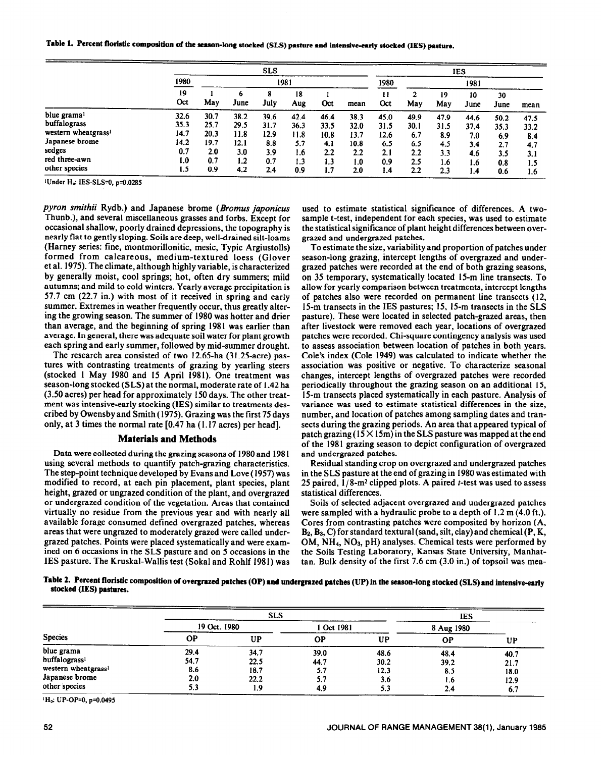Table 1. Percent floristic composition of the season-long stocked (SLS) pasture and intensive-early stocked (IES) pasture.

|                                 |           | <b>SLS</b> |           |           |           |      |      |           | <b>IES</b> |           |            |            |      |  |  |
|---------------------------------|-----------|------------|-----------|-----------|-----------|------|------|-----------|------------|-----------|------------|------------|------|--|--|
|                                 | 1980      | 1981       |           |           |           |      | 1980 |           | 1981       |           |            |            |      |  |  |
|                                 | 19<br>Oct | May        | 6<br>June | ۰<br>July | 18<br>Aug | Oct  | mean | 11<br>Oct | May        | 19<br>May | 10<br>June | 30<br>June | mean |  |  |
| blue grama <sup>1</sup>         | 32.6      | 30.7       | 38.2      | 39.6      | 42.4      | 46.4 | 38.3 | 45.0      | 49.9       | 47.9      | 44.6       | 50.2       | 47.5 |  |  |
| buffalograss                    | 35.3      | 25.7       | 29.5      | 31.7      | 36.3      | 33.5 | 32.0 | 31.5      | 30.1       | 31.5      | 37.4       | 35.3       | 33.2 |  |  |
| western wheatgrass <sup>1</sup> | 14.7      | 20.3       | 11.8      | 12.9      | 11.8      | 10.8 | 13.7 | 12.6      | 6.7        | 8.9       | 7.0        | 6.9        | 8.4  |  |  |
| Japanese brome                  | 14.2      | 19.7       | 12.1      | 8.8       | 5.7       | 4.1  | 10.8 | 6.5       | 6.5        | 4.5       | 3.4        | 2.7        | 4.7  |  |  |
| sedges                          | 0.7       | 2.0        | 3.0       | 3.9       | 1.6       | 2.2  | 2.2  | 2.1       | 2.2        | 3.3       | 4.6        | 3.5        | 3.1  |  |  |
| red three-awn                   | 1.0       | 0.7        | 1.2       | 0.7       | 1.3       | 1.3  | 1.0  | 0.9       | 2.5        | 1.6       | 1.6        | 0.8        | 1.5  |  |  |
| other species                   | 1.5       | 0.9        | 4.2       | 2.4       | 0.9       | 1.7  | 2.0  | 1.4       | 2.2        | 2.3       | 1.4        | 0.6        | 1.6  |  |  |

<sup>1</sup>Under H<sub>o</sub>: IES-SLS=0, p=0.0285

pyron smithii Rydb.) and Japanese brome (Bromus japonicus Thunb.), and several miscellaneous grasses and forbs. Except for occasional shallow, poorly drained depressions, the topography is nearly flat to gently sloping. Soils are deep, well-drained silt-loams (Harney series: fine, montmorillonitic, mesic, Typic Argiustolls) formed from calcareous, medium-textured loess (Glover et al. 1975). The climate, although highly variable, is characterized by generally moist, cool springs; hot, often dry summers; mild autumns; and mild to cold winters. Yearly average precipitation is 57.7 cm (22.7 in.) with most of it received in spring and early summer. Extremes in weather frequently occur, thus greatly altering the growing season. The summer of 1980 was hotter and drier than average, and the beginning of spring 1981 was earlier than average. In general, there was adequate soil water for plant growth each spring and early summer, followed by mid-summer drought.

The research area consisted of two 12.65-ha (31.25-acre) pastures with contrasting treatments of grazing by yearling steers (stocked 1 May 1980 and 15 April 1981). One treatment was season-long stocked (SLS) at the normal, moderate rate of 1.42 ha (3.50 acres) per head for approximately 150 days. The other treatment was intensive-early stocking (IES) similar to treatments described by Owensby and Smith (1975). Grazing was the first 75 days only, at 3 times the normal rate [0.47 ha (1.17 acres) per head].

#### **Materials and Methods**

Data were collected during the grazing seasons of 1980 and 1981 using several methods to quantify patch-grazing characteristics. The step-point technique developed by Evans and Love (1957) was modified to record, at each pin placement, plant species, plant height, grazed or ungrazed condition of the plant, and overgrazed or undergrazed condition of the vegetation. Areas that contained virtually no residue from the previous year and with nearly all available forage consumed defined overgrazed patches, whereas areas that were ungrazed to moderately grazed were called undergrazed patches. Points were placed systematically and were examined on 6 occasions in the SLS pasture and on 5 occasions in the IES pasture. The Kruskal-Wallis test (Sokal and Rohlf 1981) was

used to estimate statistical significance of differences. A twosample t-test, independent for each species, was used to estimate the statistical significance of plant height differences between overgrazed and undergrazed patches.

To estimate the size, variability and proportion of patches under season-long grazing, intercept lengths of overgrazed and undergrazed patches were recorded at the end of both grazing seasons, on 35 temporary, systematically located 15-m line transects. To allow for yearly comparison between treatments, intercept lengths of patches also were recorded on permanent line transects (12, 15-m transects in the IES pastures; 15, 15-m transects in the SLS pasture). These were located in selected patch-grazed areas, then after livestock were removed each year, locations of overgrazed patches were recorded. Chi-square contingency analysis was used to assess association between location of patches in both years. Cole's index (Cole 1949) was calculated to indicate whether the association was positive or negative. To characterize seasonal changes, intercept lengths of overgrazed patches were recorded periodically throughout the grazing season on an additional 15, 15-m transects placed systematically in each pasture. Analysis of variance was used to estimate statistical differences in the size, number, and location of patches among sampling dates and transects during the grazing periods. An area that appeared typical of patch grazing ( $15 \times 15$ m) in the SLS pasture was mapped at the end of the 1981 grazing season to depict configuration of overgrazed and undergrazed patches.

Residual standing crop on overgrazed and undergrazed patches in the SLS pasture at the end of grazing in 1980 was estimated with 25 paired,  $1/8$ -m<sup>2</sup> clipped plots. A paired *t*-test was used to assess statistical differences.

Soils of selected adjacent overgrazed and undergrazed patches were sampled with a hydraulic probe to a depth of  $1.2$  m  $(4.0$  ft.). Cores from contrasting patches were composited by horizon (A,  $B_2$ ,  $B_3$ , C) for standard textural (sand, silt, clay) and chemical (P, K,  $OM, NH<sub>4</sub>, NO<sub>3</sub>, pH)$  analyses. Chemical tests were performed by the Soils Testing Laboratory, Kansas State University, Manhattan. Bulk density of the first  $7.6 \text{ cm}$  (3.0 in.) of topsoil was mea-

Table 2. Percent floristic composition of overgrazed patches (OP) and undergrazed patches (UP) in the season-long stocked (SLS) and intensive-early stocked (IES) pastures.

| <b>Species</b>                  |              | <b>SLS</b> |            |      |            |      |  |
|---------------------------------|--------------|------------|------------|------|------------|------|--|
|                                 | 19 Oct. 1980 |            | 1 Oct 1981 |      | 8 Aug 1980 |      |  |
|                                 | ОP           | UP         | <b>OP</b>  | UP   | <b>OP</b>  | UP   |  |
| blue grama                      | 29.4         | 34.7       | 39.0       | 48.6 | 48.4       | 40.7 |  |
| buffalograss <sup>1</sup>       | 54.7         | 22.5       | 44.7       | 30.2 | 39.2       | 21.7 |  |
| western wheatgrass <sup>1</sup> | 8.6          | 18.7       | 5.7        | 12.3 | 8.5        | 18.0 |  |
| Japanese brome                  | 2.0          | 22.2       | 5.7        | 3.6  | 1.6        | 12.9 |  |
| other species                   | 5.3          | 1.9        | 4.9        | 5.3  | 2.4        | 6.7  |  |

<sup>1</sup>H<sub>o</sub>: UP-OP=0, p=0.0495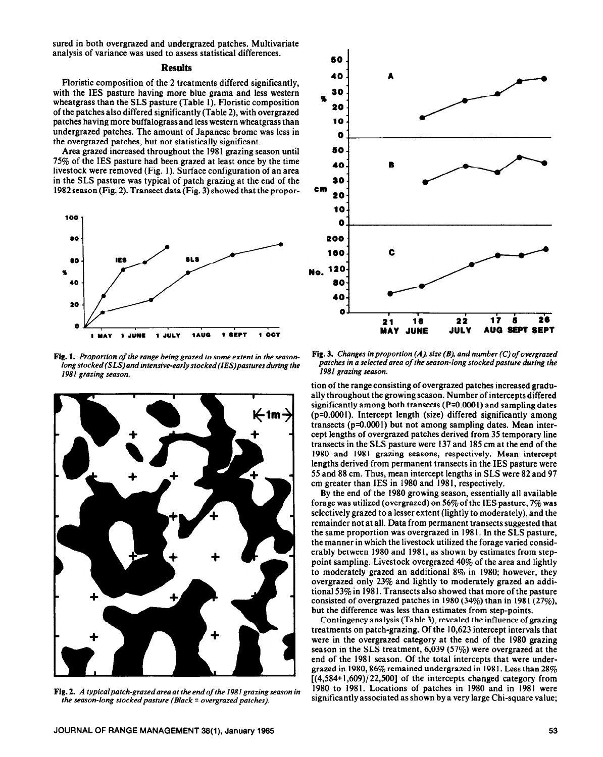sured in both overgrazed and undergrazed patches. Multivariate analysis of variance was used to assess statistical differences.

#### **Results**

Floristic composition of the 2 treatments differed significantly, with the IES pasture having more blue grama and less western wheatgrass than the SLS pasture (Table 1). Floristic composition of the patches also differed significantly (Table 2), with overgrazed patches having more buffalograss and less western wheatgrass than undergrazed patches. The amount of Japanese brome was less in the overgrazed patches, but not statistically significant.

Area grazed increased throughout the 1981 grazing season until 75% of the IES pasture had been grazed at least once by the time livestock were removed (Fig. 1). Surface configuration of an area in the SLS pasture was typical of patch grazing at the end of the 1982 season (Fig. 2). Transect data (Fig. 3) showed that the propor-



Fig. 1. *Proportion of the range being grazed to some extent in the seasonlong stocked (SLS) and intensive-early stocked (IES)pastures during the 1981 grazing season.* 



Fig. *2. A typicalpatch-grazedarea at the end of the 1981* grazing **season** *in the season-long stocked pasture (Black = overgrazed patches).* 



Fig. 3. *Changes* in *proportion (A), size (B), and number (C)of overgrazed*  patches in a selected area of the season-long stocked pasture during the *1981 grazing season.* 

tion of the range consisting of overgrazed patches increased gradually throughout the growing season. Number of intercepts differed significantly among both transects (P=O.OOO I) and sampling dates (p=O.OOOl). Intercept length (size) differed significantly among transects (p=O.OGOI) but not among sampling dates. Mean intercept lengths of overgrazed patches derived from 35 temporary line transects in the SLS pasture were 137 and 185 cm at the end of the 1980 and 1981 grazing seasons, respectively. Mean intercept lengths derived from permanent transects in the IES pasture were 55 and 88 cm. Thus, mean intercept lengths in SLS were 82 and 97 cm greater than IES in 1980 and 1981, respectively.

By the end of the 1980 growing season, essentially all available forage was utilized (overgrazed) on  $56\%$  of the IES pasture,  $7\%$  was selectively grazed to a lesser extent (lightly to moderately), and the remainder not at all. Data from permanent transects suggested that the same proportion was overgrazed in 198 I. In the SLS pasture, the manner in which the livestock utilized the forage varied considerably between 1980 and 1981, as shown by estimates from steppoint sampling. Livestock overgrazed 40% of the area and lightly to moderately grazed an additional 8% in 1980; however, they overgrazed only 23% and lightly to moderately grazed an additional 53% in 198 I. Transects also showed that more of the pasture consisted of overgrazed patches in 1980 (34%) than in 1981 (27%), but the difference was less than estimates from step-points.

Contingency analysis (Table 3), revealed the influence of grazing treatments on patch-grazing. Of the 10,623 intercept intervals that were in the overgrazed category at the end of the 1980 grazing season in the SLS treatment, 6,039 (57%) were overgrazed at the end of the 1981 season. Of the total intercepts that were undergrazed in 1980, 86% remained undergrazed in 1981. Less than  $28\%$  $[(4,584+1,609)/22,500]$  of the intercepts changed category from 1980 to 1981. Locations of patches in 1980 and in 1981 were significantly associated as shown by a very large Chi-square value;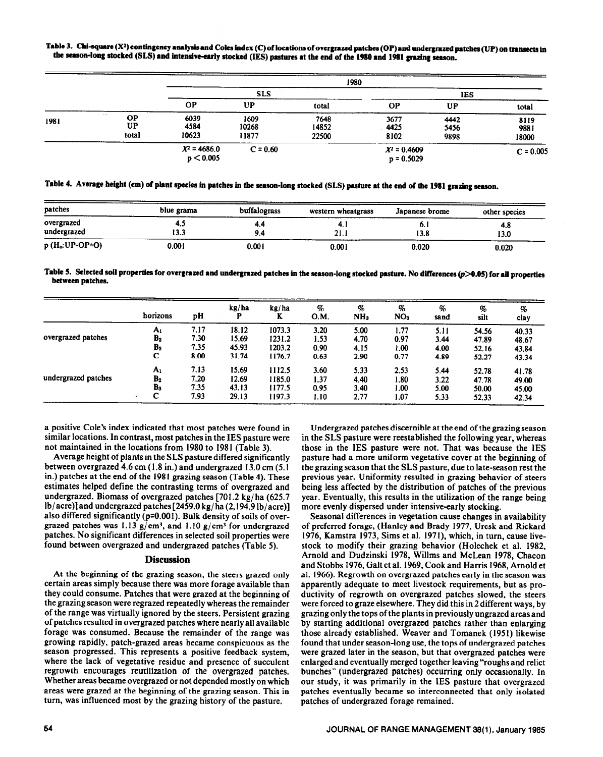Table 3. Chi-square (X<sup>2</sup>) contingency analysis and Coles index (C) of locations of overgrazed patches (OP) and undergrazed patches (UP) on transects in the season-long stocked (SLS) and intensive-early stocked (IES) pastures at the end of the 1980 and 1981 grazing season.

|                                              |       |                             |                        | 1980                   |                                |                      |                       |
|----------------------------------------------|-------|-----------------------------|------------------------|------------------------|--------------------------------|----------------------|-----------------------|
|                                              |       |                             | <b>SLS</b>             |                        |                                | <b>IES</b>           |                       |
|                                              |       | <b>OP</b>                   | UP                     | total                  | <b>OP</b>                      | <b>UP</b>            | total                 |
| <b>CONTRACTOR</b><br><b>OP</b><br>1981<br>UP | total | 6039<br>4584<br>10623       | 1609<br>10268<br>11877 | 7648<br>14852<br>22500 | 3677<br>4425<br>8102           | 4442<br>5456<br>9898 | 8119<br>9881<br>18000 |
|                                              |       | $X^2 = 4686.0$<br>p < 0.005 | $C = 0.60$             |                        | $X^2 = 0.4609$<br>$p = 0.5029$ |                      | $C = 0.005$           |

|  |  |  |  |  |  |  |  |  |  | Table 4. Average height (cm) of plant species in patches in the season-long stocked (SLS) pasture at the end of the 1981 grazing season. |
|--|--|--|--|--|--|--|--|--|--|------------------------------------------------------------------------------------------------------------------------------------------|
|--|--|--|--|--|--|--|--|--|--|------------------------------------------------------------------------------------------------------------------------------------------|

| patches                   | blue grama   | buffalograss | western wheatgrass | Japanese brome | other species |
|---------------------------|--------------|--------------|--------------------|----------------|---------------|
| overgrazed<br>undergrazed | ٠. .<br>13.3 | 4.4<br>9.4   | ч.,<br>21.1        | . v. l<br>13.8 | 4.8<br>13.0   |
| $p(H_o:UP-OP=O)$          | 0.001        | 0.001        | 0.001              | 0.020          | 0.020         |

Table 5. Selected soil properties for overgrazed and undergrazed patches in the season-long stocked pasture. No differences (p>0.05) for all properties **between patches.** 

|                     | horizons       | рH   | kg/ha | kg/ha<br>K | %<br>O.M. | %<br>NH <sub>3</sub> | %<br>NO <sub>3</sub> | %<br>sand | %<br>silt | %<br>clay |
|---------------------|----------------|------|-------|------------|-----------|----------------------|----------------------|-----------|-----------|-----------|
|                     | $A_1$          | 7.17 | 18.12 | 1073.3     | 3.20      | 5.00                 | 1.77                 | 5.11      | 54.56     | 40.33     |
| overgrazed patches  | B <sub>2</sub> | 7.30 | 15.69 | 1231.2     | 1.53      | 4.70                 | 0.97                 | 3.44      | 47.89     | 48.67     |
|                     | B <sub>3</sub> | 7.35 | 45.93 | 1203.2     | 0.90      | 4.15                 | 1.00                 | 4.00      | 52.16     | 43.84     |
|                     | C              | 8.00 | 31.74 | 1176.7     | 0.63      | 2.90                 | 0.77                 | 4.89      | 52.27     | 43.34     |
|                     | $A_1$          | 7.13 | 15.69 | 1112.5     | 3.60      | 5.33                 | 2.53                 | 5.44      | 52.78     | 41.78     |
| undergrazed patches | B <sub>2</sub> | 7.20 | 12.69 | 1185.0     | 1.37      | 4.40                 | 1.80                 | 3.22      | 47.78     | 49.00     |
|                     | B <sub>3</sub> | 7.35 | 43.13 | 1177.5     | 0.95      | 3.40                 | 1.00                 | 5.00      | 50.00     | 45.00     |
|                     | С              | 7.93 | 29.13 | 1197.3     | 1.10      | 2.77                 | 1.07                 | 5.33      | 52.33     | 42.34     |

a positive Cole's index indicated that most patches were found in similar locations. In contrast, most patches in the IES pasture were not maintained in the locations from 1980 to 1981 (Table 3).

Average height of plants in the SLS pasture differed significantly between overgrazed 4.6 cm (1.8 in.) and undergrazed 13.0 cm (5. I in.) patches at the end of the 1981 grazing season (Table 4). These estimates helped define the contrasting terms of overgrazed and undergrazed. Biomass of overgrazed patches [701.2 kg/ ha (625.7 lb/acre)] and undergrazed patches [2459.0 kg/ ha (2,194.9 lb/acre)] also differed significantly (p=0.001). Bulk density of soils of overgrazed patches was 1.13  $g/cm^3$ , and 1.10  $g/cm^3$  for undergrazed patches. No significant differences in selected soil properties were found between overgrazed and undergrazed patches (Table 5).

#### **Discussion**

At the beginning of the grazing season, the steers grazed only certain areas simply because there was more forage available than they could consume. Patches that were grazed at the beginning of the grazing season were regrazed repeatedly whereas the remainder of the range was virtually ignored by the steers. Persistent grazing of patches resulted in overgrazed patches where nearly all available forage was consumed. Because the remainder of the range was growing rapidly, patch-grazed areas became conspicuous as the season progressed. This represents a positive feedback system, where the lack of vegetative residue and presence of succulent regrowth encourages reutilization of the overgrazed patches. Whether areas became overgrazed or not depended mostly on which areas were grazed at the beginning of the grazing season. This in turn, was influenced most by the grazing history of the pasture.

Undergrazed patches discernible at the end of the grazing season in the SLS pasture were reestablished the following year, whereas those in the IES pasture were not. That was because the IES pasture had a more uniform vegetative cover at the beginning of the grazing season that the SLS pasture, due to late-season rest the previous year. Uniformity resulted in grazing behavior of steers being less affected by the distribution of patches of the previous year. Eventually, this results in the utilization of the range being more evenly dispersed under intensive-early stocking.

Seasonal differences in vegetation cause changes in availability of preferred forage, (Hanley and Brady 1977, Uresk and Rickard 1976, Kamstra 1973, Sims et al. 1971), which, in turn, cause livestock to modify their grazing behavior (Holechek et al. 1982, Arnold and Dudzinski 1978, Willms and McLean 1978, Chacon and Stobbs 1976, Galt et al. 1969, Cook and Harris 1968, Arnold et al. 1966). Regrowth on overgrazed patches early in the season was apparently adequate to meet livestock requirements, but as productivity of regrowth on overgrazed patches slowed, the steers were forced to graze elsewhere. They did this in 2 different ways, by grazing only the tops of the plants in previously ungrazed areas and by starting additional overgrazed patches rather than enlarging those already established. Weaver and Tomanek (1951) likewise found that under season-long use, the tops of undergrazed patches were grazed later in the season, but that overgrazed patches were enlarged and eventually merged together 1eaving"roughs and relict bunches" (undergrazed patches) occurring only occasionally. In our study, it was primarily in the IES pasture that overgrazed patches eventually became so interconnected that only isolated patches of undergrazed forage remained.